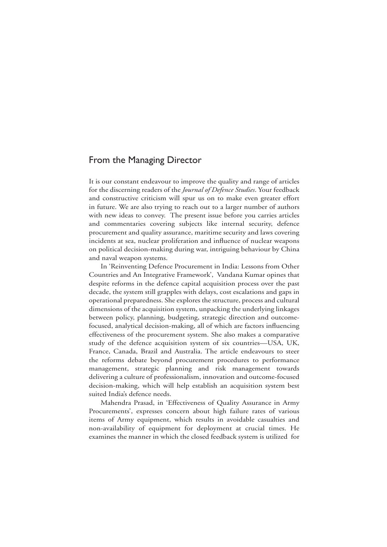## From the Managing Director

It is our constant endeavour to improve the quality and range of articles for the discerning readers of the *Journal of Defence Studies*. Your feedback and constructive criticism will spur us on to make even greater effort in future. We are also trying to reach out to a larger number of authors with new ideas to convey. The present issue before you carries articles and commentaries covering subjects like internal security, defence procurement and quality assurance, maritime security and laws covering incidents at sea, nuclear proliferation and influence of nuclear weapons on political decision-making during war, intriguing behaviour by China and naval weapon systems.

In 'Reinventing Defence Procurement in India: Lessons from Other Countries and An Integrative Framework', Vandana Kumar opines that despite reforms in the defence capital acquisition process over the past decade, the system still grapples with delays, cost escalations and gaps in operational preparedness. She explores the structure, process and cultural dimensions of the acquisition system, unpacking the underlying linkages between policy, planning, budgeting, strategic direction and outcomefocused, analytical decision-making, all of which are factors influencing effectiveness of the procurement system. She also makes a comparative study of the defence acquisition system of six countries—USA, UK, France, Canada, Brazil and Australia. The article endeavours to steer the reforms debate beyond procurement procedures to performance management, strategic planning and risk management towards delivering a culture of professionalism, innovation and outcome-focused decision-making, which will help establish an acquisition system best suited India's defence needs.

Mahendra Prasad, in 'Effectiveness of Quality Assurance in Army Procurements', expresses concern about high failure rates of various items of Army equipment, which results in avoidable casualties and non-availability of equipment for deployment at crucial times. He examines the manner in which the closed feedback system is utilized for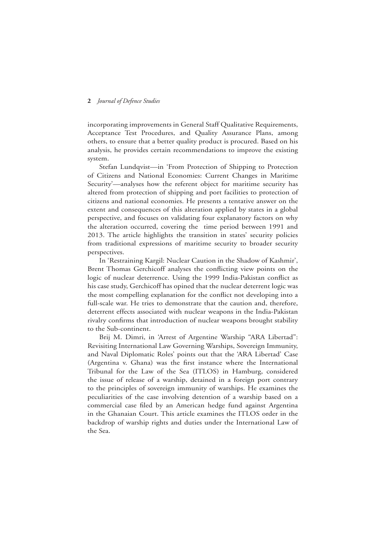## **2** *Journal of Defence Studies*

incorporating improvements in General Staff Qualitative Requirements, Acceptance Test Procedures, and Quality Assurance Plans, among others, to ensure that a better quality product is procured. Based on his analysis, he provides certain recommendations to improve the existing system.

Stefan Lundqvist—in 'From Protection of Shipping to Protection of Citizens and National Economies: Current Changes in Maritime Security'—analyses how the referent object for maritime security has altered from protection of shipping and port facilities to protection of citizens and national economies. He presents a tentative answer on the extent and consequences of this alteration applied by states in a global perspective, and focuses on validating four explanatory factors on why the alteration occurred, covering the time period between 1991 and 2013. The article highlights the transition in states' security policies from traditional expressions of maritime security to broader security perspectives.

In 'Restraining Kargil: Nuclear Caution in the Shadow of Kashmir', Brent Thomas Gerchicoff analyses the conflicting view points on the logic of nuclear deterrence. Using the 1999 India-Pakistan conflict as his case study, Gerchicoff has opined that the nuclear deterrent logic was the most compelling explanation for the conflict not developing into a full-scale war. He tries to demonstrate that the caution and, therefore, deterrent effects associated with nuclear weapons in the India-Pakistan rivalry confirms that introduction of nuclear weapons brought stability to the Sub-continent.

Brij M. Dimri, in 'Arrest of Argentine Warship "ARA Libertad": Revisiting International Law Governing Warships, Sovereign Immunity, and Naval Diplomatic Roles' points out that the 'ARA Libertad' Case (Argentina v. Ghana) was the first instance where the International Tribunal for the Law of the Sea (ITLOS) in Hamburg, considered the issue of release of a warship, detained in a foreign port contrary to the principles of sovereign immunity of warships. He examines the peculiarities of the case involving detention of a warship based on a commercial case filed by an American hedge fund against Argentina in the Ghanaian Court. This article examines the ITLOS order in the backdrop of warship rights and duties under the International Law of the Sea.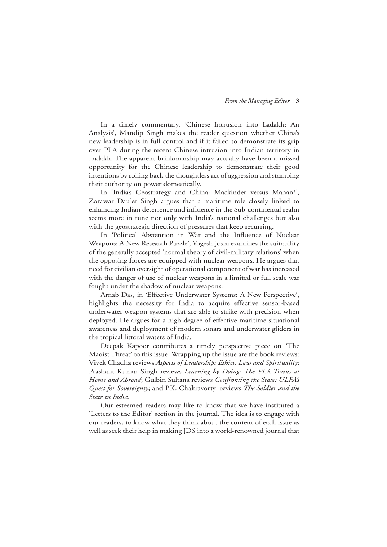In a timely commentary, 'Chinese Intrusion into Ladakh: An Analysis', Mandip Singh makes the reader question whether China's new leadership is in full control and if it failed to demonstrate its grip over PLA during the recent Chinese intrusion into Indian territory in Ladakh. The apparent brinkmanship may actually have been a missed opportunity for the Chinese leadership to demonstrate their good intentions by rolling back the thoughtless act of aggression and stamping their authority on power domestically.

In 'India's Geostrategy and China: Mackinder versus Mahan?', Zorawar Daulet Singh argues that a maritime role closely linked to enhancing Indian deterrence and influence in the Sub-continental realm seems more in tune not only with India's national challenges but also with the geostrategic direction of pressures that keep recurring.

In 'Political Abstention in War and the Influence of Nuclear Weapons: A New Research Puzzle', Yogesh Joshi examines the suitability of the generally accepted 'normal theory of civil-military relations' when the opposing forces are equipped with nuclear weapons. He argues that need for civilian oversight of operational component of war has increased with the danger of use of nuclear weapons in a limited or full scale war fought under the shadow of nuclear weapons.

Arnab Das, in 'Effective Underwater Systems: A New Perspective', highlights the necessity for India to acquire effective sensor-based underwater weapon systems that are able to strike with precision when deployed. He argues for a high degree of effective maritime situational awareness and deployment of modern sonars and underwater gliders in the tropical littoral waters of India.

Deepak Kapoor contributes a timely perspective piece on 'The Maoist Threat' to this issue. Wrapping up the issue are the book reviews: Vivek Chadha reviews *Aspects of Leadership: Ethics, Law and Spirituality*; Prashant Kumar Singh reviews *Learning by Doing: The PLA Trains at Home and Abroad*; Gulbin Sultana reviews *Confronting the State: ULFA's Quest for Sovereignty*; and P.K. Chakravorty reviews *The Soldier and the State in India*.

Our esteemed readers may like to know that we have instituted a 'Letters to the Editor' section in the journal. The idea is to engage with our readers, to know what they think about the content of each issue as well as seek their help in making JDS into a world-renowned journal that